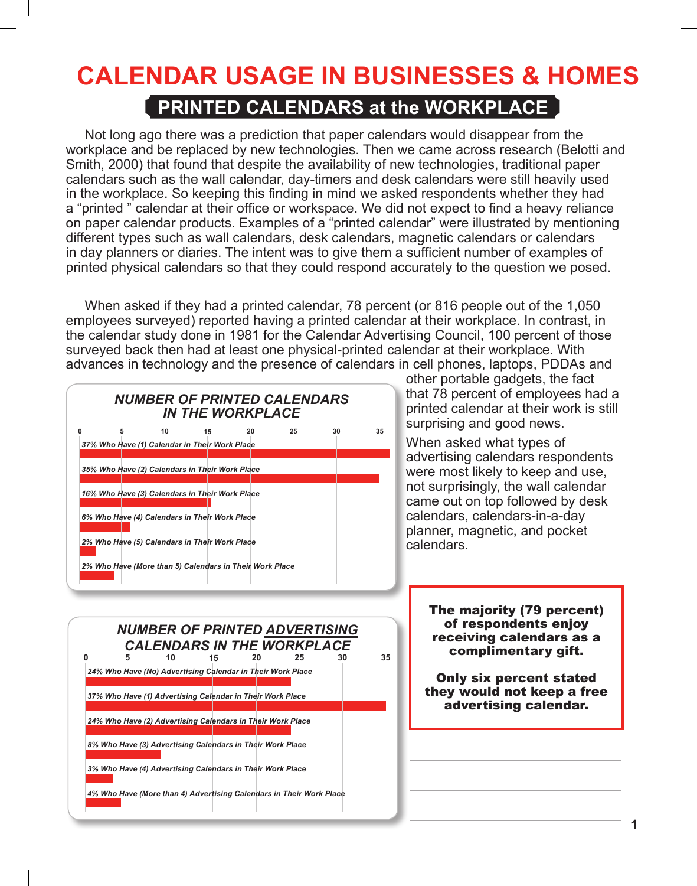### **PRINTED CALENDARS at the WORKPLACE**

 Not long ago there was a prediction that paper calendars would disappear from the workplace and be replaced by new technologies. Then we came across research (Belotti and Smith, 2000) that found that despite the availability of new technologies, traditional paper calendars such as the wall calendar, day-timers and desk calendars were still heavily used in the workplace. So keeping this finding in mind we asked respondents whether they had a "printed " calendar at their office or workspace. We did not expect to find a heavy reliance on paper calendar products. Examples of a "printed calendar" were illustrated by mentioning different types such as wall calendars, desk calendars, magnetic calendars or calendars in day planners or diaries. The intent was to give them a sufficient number of examples of printed physical calendars so that they could respond accurately to the question we posed.

When asked if they had a printed calendar, 78 percent (or 816 people out of the 1,050 employees surveyed) reported having a printed calendar at their workplace. In contrast, in the calendar study done in 1981 for the Calendar Advertising Council, 100 percent of those surveyed back then had at least one physical-printed calendar at their workplace. With advances in technology and the presence of calendars in cell phones, laptops, PDDAs and

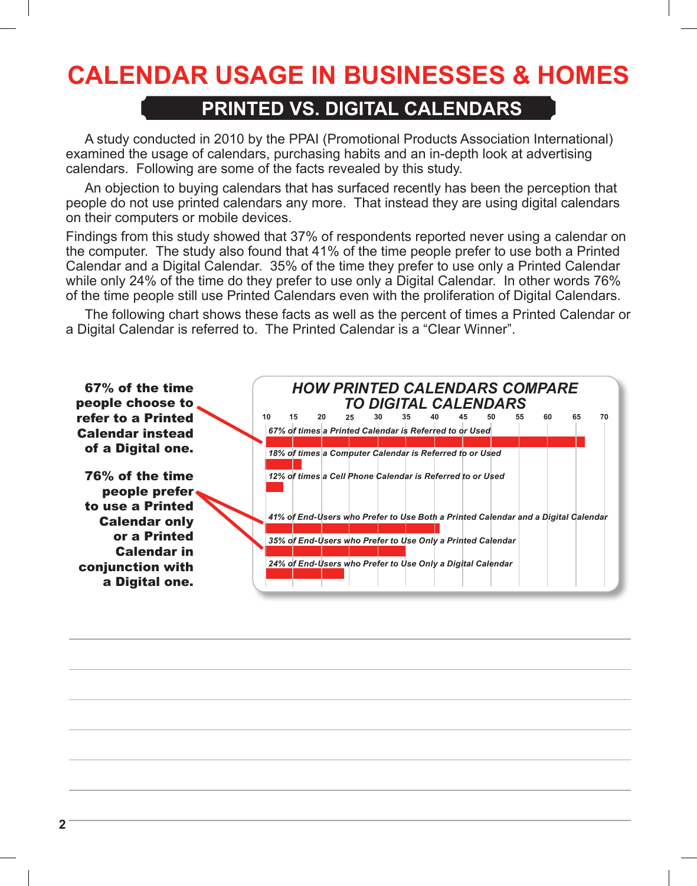### **PRINTED VS. DIGITAL CALENDARS**

 A study conducted in 2010 by the PPAI (Promotional Products Association International) examined the usage of calendars, purchasing habits and an in-depth look at advertising calendars. Following are some of the facts revealed by this study.

 An objection to buying calendars that has surfaced recently has been the perception that people do not use printed calendars any more. That instead they are using digital calendars on their computers or mobile devices.

Findings from this study showed that 37% of respondents reported never using a calendar on the computer. The study also found that 41% of the time people prefer to use both a Printed Calendar and a Digital Calendar. 35% of the time they prefer to use only a Printed Calendar while only 24% of the time do they prefer to use only a Digital Calendar. In other words 76% of the time people still use Printed Calendars even with the proliferation of Digital Calendars.

The following chart shows these facts as well as the percent of times a Printed Calendar or a Digital Calendar is referred to. The Printed Calendar is a "Clear Winner".

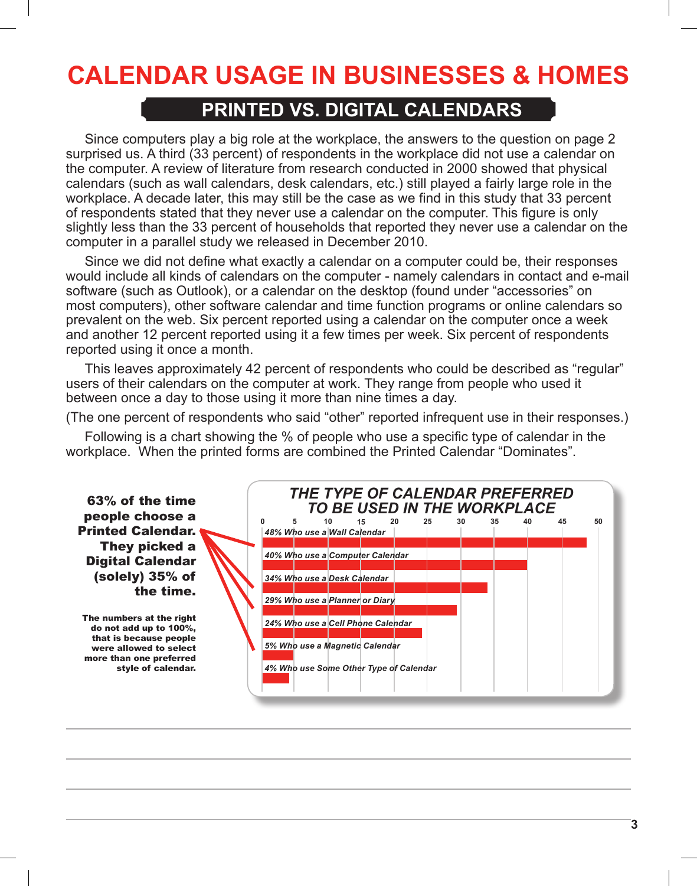### **PRINTED VS. DIGITAL CALENDARS**

 Since computers play a big role at the workplace, the answers to the question on page 2 surprised us. A third (33 percent) of respondents in the workplace did not use a calendar on the computer. A review of literature from research conducted in 2000 showed that physical calendars (such as wall calendars, desk calendars, etc.) still played a fairly large role in the workplace. A decade later, this may still be the case as we find in this study that 33 percent of respondents stated that they never use a calendar on the computer. This figure is only slightly less than the 33 percent of households that reported they never use a calendar on the computer in a parallel study we released in December 2010.

Since we did not define what exactly a calendar on a computer could be, their responses would include all kinds of calendars on the computer - namely calendars in contact and e-mail software (such as Outlook), or a calendar on the desktop (found under "accessories" on most computers), other software calendar and time function programs or online calendars so prevalent on the web. Six percent reported using a calendar on the computer once a week and another 12 percent reported using it a few times per week. Six percent of respondents reported using it once a month.

This leaves approximately 42 percent of respondents who could be described as "regular" users of their calendars on the computer at work. They range from people who used it between once a day to those using it more than nine times a day.

(The one percent of respondents who said "other" reported infrequent use in their responses.)

Following is a chart showing the % of people who use a specific type of calendar in the workplace. When the printed forms are combined the Printed Calendar "Dominates".

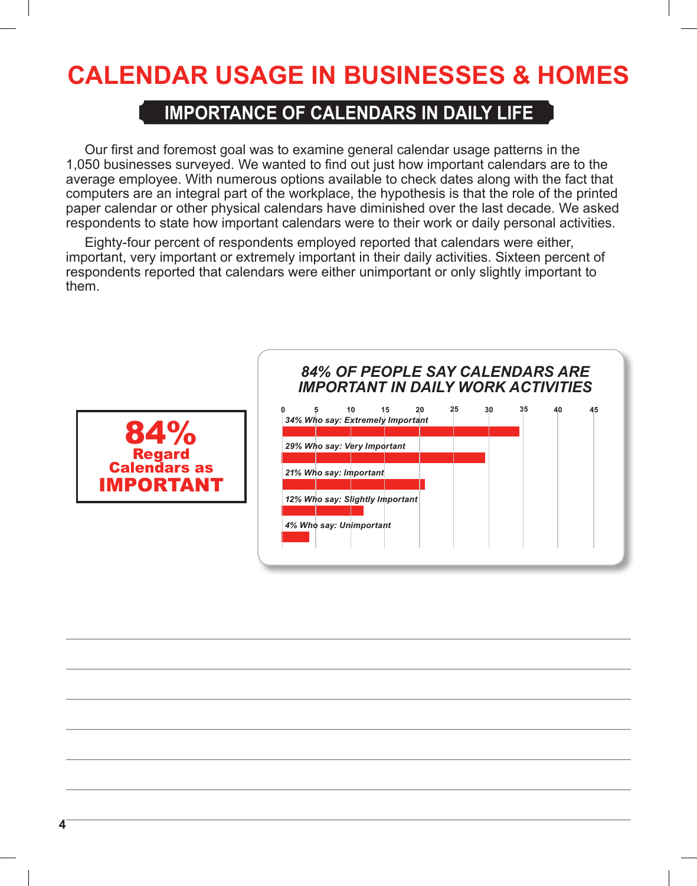### **IMPORTANCE OF CALENDARS IN DAILY LIFE**

 Our first and foremost goal was to examine general calendar usage patterns in the 1,050 businesses surveyed. We wanted to find out just how important calendars are to the average employee. With numerous options available to check dates along with the fact that computers are an integral part of the workplace, the hypothesis is that the role of the printed paper calendar or other physical calendars have diminished over the last decade. We asked respondents to state how important calendars were to their work or daily personal activities.

Eighty-four percent of respondents employed reported that calendars were either, important, very important or extremely important in their daily activities. Sixteen percent of respondents reported that calendars were either unimportant or only slightly important to them.



### *84% OF PEOPLE SAY CALENDARS ARE IMPORTANT IN DAILY WORK ACTIVITIES*

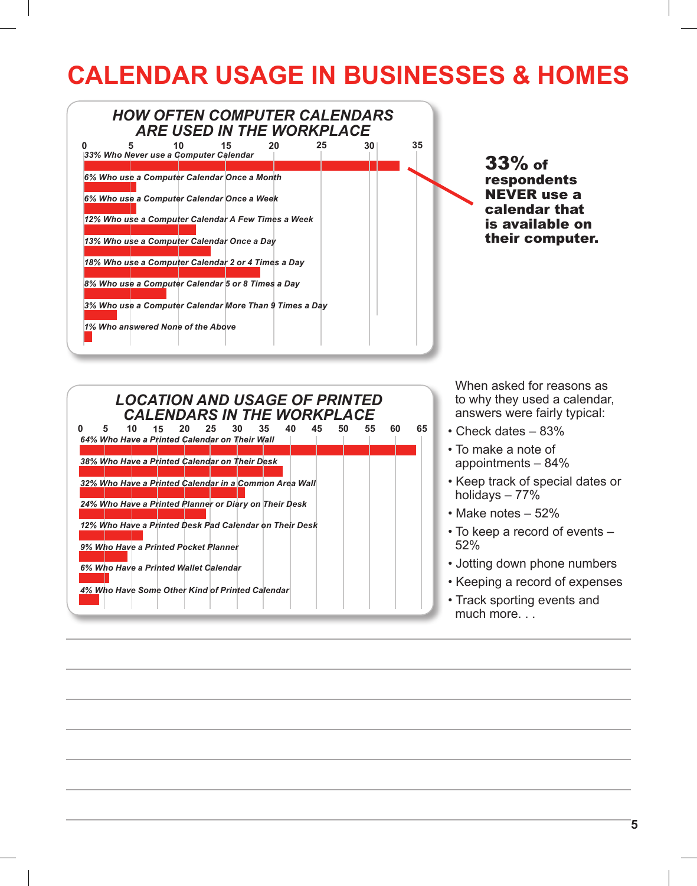



 When asked for reasons as to why they used a calendar, answers were fairly typical:

- Check dates 83%
- To make a note of appointments – 84%
- Keep track of special dates or holidays – 77%
- Make notes 52%
- To keep a record of events 52%
- Jotting down phone numbers
- Keeping a record of expenses
- Track sporting events and much more. . .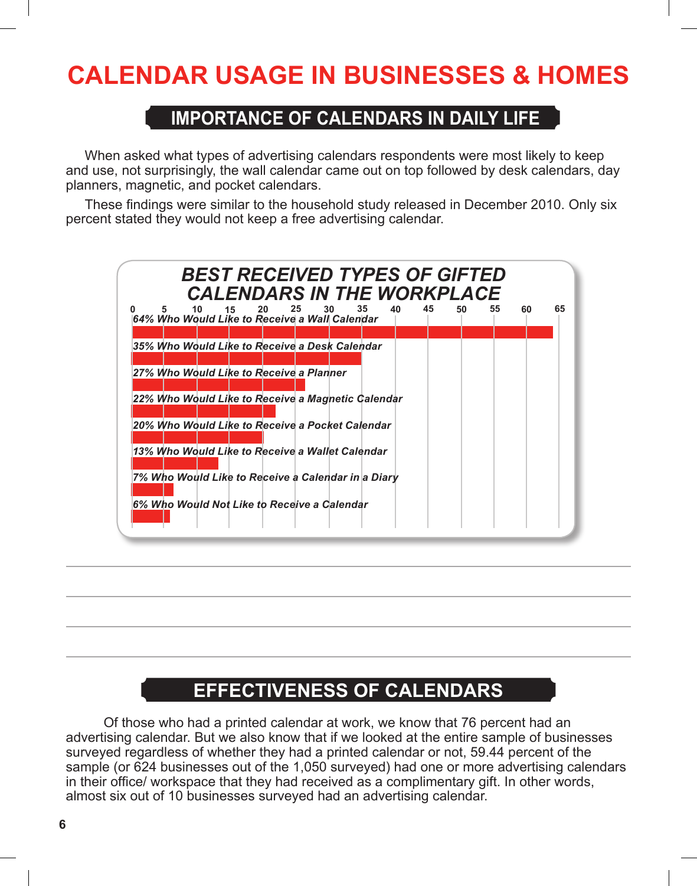### **IMPORTANCE OF CALENDARS IN DAILY LIFE**

 When asked what types of advertising calendars respondents were most likely to keep and use, not surprisingly, the wall calendar came out on top followed by desk calendars, day planners, magnetic, and pocket calendars.

These findings were similar to the household study released in December 2010. Only six percent stated they would not keep a free advertising calendar.



## **EFFECTIVENESS OF CALENDARS**

 Of those who had a printed calendar at work, we know that 76 percent had an advertising calendar. But we also know that if we looked at the entire sample of businesses surveyed regardless of whether they had a printed calendar or not, 59.44 percent of the sample (or 624 businesses out of the 1,050 surveyed) had one or more advertising calendars in their office/ workspace that they had received as a complimentary gift. In other words, almost six out of 10 businesses surveyed had an advertising calendar.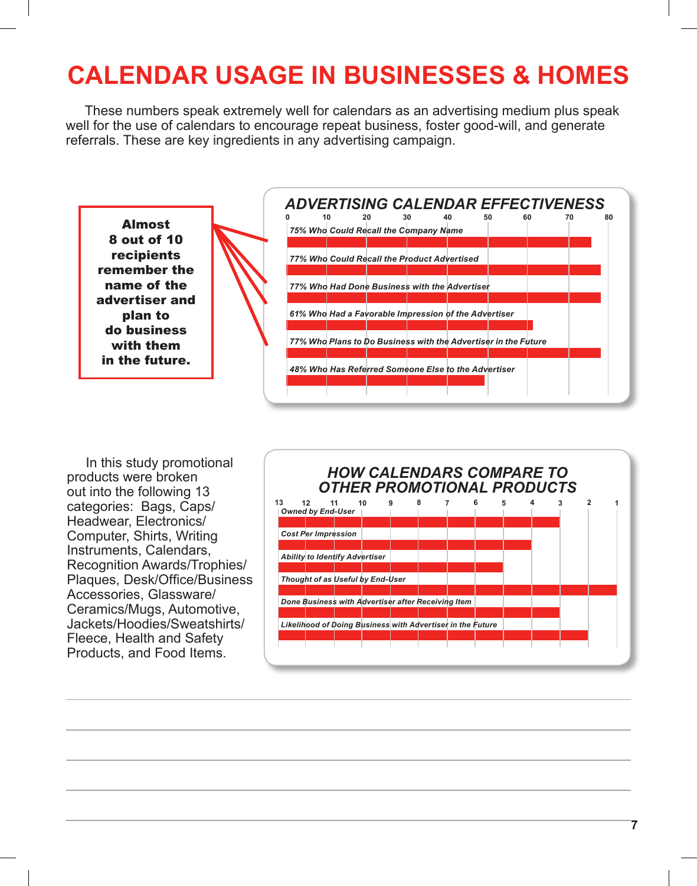These numbers speak extremely well for calendars as an advertising medium plus speak well for the use of calendars to encourage repeat business, foster good-will, and generate referrals. These are key ingredients in any advertising campaign.



In this study promotional products were broken out into the following 13 categories: Bags, Caps/ Headwear, Electronics/ Computer, Shirts, Writing Instruments, Calendars, Recognition Awards/Trophies/ Plaques, Desk/Office/Business Accessories, Glassware/ Ceramics/Mugs, Automotive, Jackets/Hoodies/Sweatshirts/ Fleece, Health and Safety Products, and Food Items.